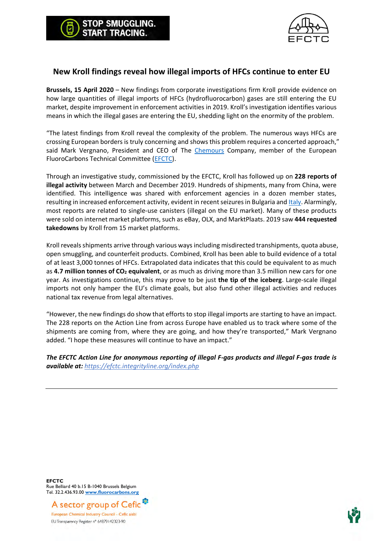



## **New Kroll findings reveal how illegal imports of HFCs continue to enter EU**

**Brussels, 15 April 2020** – New findings from corporate investigations firm Kroll provide evidence on how large quantities of illegal imports of HFCs (hydrofluorocarbon) gases are still entering the EU market, despite improvement in enforcement activities in 2019. Kroll's investigation identifies various means in which the illegal gases are entering the EU, shedding light on the enormity of the problem.

"The latest findings from Kroll reveal the complexity of the problem. The numerous ways HFCs are crossing European borders is truly concerning and shows this problem requires a concerted approach," said Mark Vergnano, President and CEO of The [Chemours](https://www.chemours.com/) Company, member of the European FluoroCarbons Technical Committee [\(EFCTC\)](https://www.fluorocarbons.org/wp-content/uploads/2019/11/2019_11_29_-Press-release_Follow-the-Money-Seminar.pdf).

Through an investigative study, commissioned by the EFCTC, Kroll has followed up on **228 reports of illegal activity** between March and December 2019. Hundreds of shipments, many from China, were identified. This intelligence was shared with enforcement agencies in a dozen member states, resulting in increased enforcement activity, evident in recent seizures in Bulgaria an[d Italy.](https://ec.europa.eu/anti-fraud/media-corner/news/11-02-2020/125-tonnes-illegally-imported-refrigerant-gases-seized-olafs-help_en) Alarmingly, most reports are related to single-use canisters (illegal on the EU market). Many of these products were sold on internet market platforms, such as eBay, OLX, and MarktPlaats. 2019 saw **444 requested takedowns** by Kroll from 15 market platforms.

Kroll reveals shipments arrive through various ways including misdirected transhipments, quota abuse, open smuggling, and counterfeit products. Combined, Kroll has been able to build evidence of a total of at least 3,000 tonnes of HFCs. Extrapolated data indicates that this could be equivalent to as much as **4.7 million tonnes of CO<sup>2</sup> equivalent**, or as much as driving more than 3.5 million new cars for one year. As investigations continue, this may prove to be just **the tip of the iceberg**. Large-scale illegal imports not only hamper the EU's climate goals, but also fund other illegal activities and reduces national tax revenue from legal alternatives.

"However, the new findings do show that efforts to stop illegal imports are starting to have an impact. The 228 reports on the Action Line from across Europe have enabled us to track where some of the shipments are coming from, where they are going, and how they're transported," Mark Vergnano added. "I hope these measures will continue to have an impact."

*The EFCTC Action Line for anonymous reporting of illegal F-gas products and illegal F-gas trade is available at: <https://efctc.integrityline.org/index.php>*

**EFCTC** Rue Belliard 40 b.15 B-1040 Brussels Belgium Tel. 32.2.436.93.00 **[www.fluorocarbons.org](http://www.fluorocarbons.org/)**